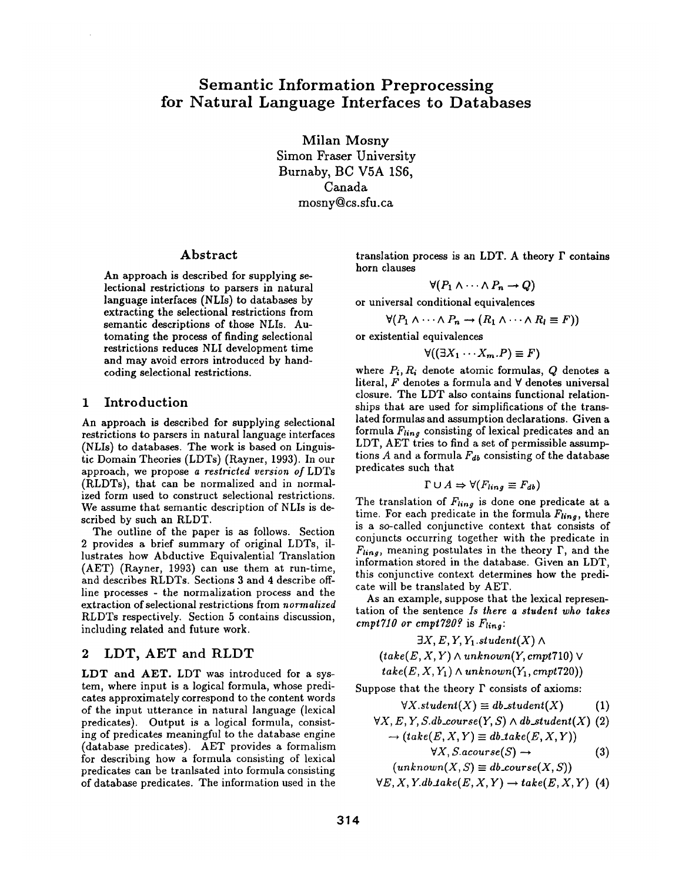Milan Mosny Simon Fraser University Burnaby, BC V5A 1S6, Canada mosny@cs.sfu.ca

### Abstract

An approach is described for supplying selectional restrictions to parsers in natural language interfaces (NLIs) to databases by extracting the selectional restrictions from semantic descriptions of those NLIs. Automating the process of finding selectional restrictions reduces NLI development time and may avoid errors introduced by handcoding selectional restrictions.

### 1 Introduction

An approach is described for supplying selectional restrictions to parsers in natural language interfaces (NLIs) to databases. The work is based on Linguistic Domain Theories (LDTs) (Rayner, 1993). In our approach, we propose *a restricted version of* LDTs (RLDTs), that can be normalized and in normalized form used to construct selectional restrictions. We assume that semantic description of NLIs is described by such an RLDT.

The outline of the paper is as follows. Section 2 provides a brief summary of original LDTs, illustrates how Abductive Equivalential Translation (AET) (Rayner, 1993) can use them at run-time, and describes RLDTs. Sections 3 and 4 describe offline processes - the normalization process and the extraction of selectional restrictions from *normalized*  RLDTs respectively. Section 5 contains discussion, including related and future work.

# 2 LDT, AET and RLDT

LDT and AET. LDT was introduced for a system, where input is a logical formula, whose predicates approximately correspond to the content words of the input utterance in natural language (lexical predicates). Output is a logical formula, consisting of predicates meaningful to the database engine (database predicates). AET provides a formalism for describing how a formula consisting of lexical predicates can be tranlsated into formula consisting of database predicates. The information used in the translation process is an LDT. A theory  $\Gamma$  contains horn clauses

$$
\forall (P_1 \land \cdots \land P_n \rightarrow Q)
$$

or universal conditional equivalences

$$
\forall (P_1 \land \cdots \land P_n \rightarrow (R_1 \land \cdots \land R_l \equiv F))
$$

or existential equivalences

$$
\forall ((\exists X_1 \cdots X_m.P) \equiv F)
$$

where  $P_i$ ,  $R_i$  denote atomic formulas,  $Q$  denotes a literal,  $F$  denotes a formula and  $\forall$  denotes universal closure. The LDT also contains functional relationships that are used for simplifications of the translated formulas and assumption declarations. Given a formula  $F_{linq}$  consisting of lexical predicates and an LDT, AET tries to find a set of permissible assumptions A and a formula  $F_{db}$  consisting of the database predicates such that

$$
\Gamma \cup A \Rightarrow \forall (F_{ling} \equiv F_{db})
$$

The translation of  $F_{ling}$  is done one predicate at a time. For each predicate in the formula  $F_{ling}$ , there is a so-called conjunctive context that consists of conjuncts occurring together with the predicate in  $F_{ling}$ , meaning postulates in the theory  $\Gamma$ , and the information stored in the database. Given an LDT, this conjunctive context determines how the predicate will be translated by AET.

As an example, suppose that the lexical representation of the sentence *Is there a student who takes cmpt710 or cmpt720?* is  $F_{ling}$ :

$$
\exists X, E, Y, Y_1. student(X) \land \exists X, E, Y, Y_1. student(X) \land \exists X, Y_1. \land \exists X, Y_2. \land \exists X, Y_1. \land \exists X, Y_2. \land \exists X, Y_1. \land \exists X, Y_2. \land \exists X, Y_1. \land \exists X, Y_2. \land \exists X, Y_1. \land \exists X, Y_2. \land \exists X, Y_1. \land \exists X, Y_2. \land \exists X, Y_1. \land \exists X, Y_2. \land \exists X, Y_2. \land \exists X, Y_2. \land \exists X, Y_2. \land \exists X, Y_2. \land \exists X, Y_2. \land \exists X, Y_2. \land \exists X, Y_2. \land \exists X, Y_2. \land \exists X, Y_2. \land \exists X, Y_2. \land \exists X, Y_2. \land \exists X, Y_2. \land \exists X, Y_2. \land \exists X, Y_2. \land \exists X, Y_2. \land \exists X, Y_2. \land \exists X, Y_2. \land \exists X, Y_2. \land \exists X, Y_2. \land \exists X, Y_2. \land \exists X, Y_2. \land \exists X, Y_2. \land \exists X, Y_2. \land \exists X, Y_2. \land \exists X, Y_2. \land \exists X, Y_2. \land \exists X, Y_2. \land \exists X, Y_2. \land \exists X, Y_2. \land \exists X, Y_2. \land \exists X, Y_2. \land \exists X, Y_2. \land \exists X, Y_2. \land \exists X, Y_2. \land \exists X, Y_2. \land \exists X, Y_2. \land \exists X, Y_2. \land \exists X, Y_2. \land \exists X, Y_2. \land \exists X, Y_2. \land \exists X, Y_2. \land \exists X, Y_2. \land \exists X, Y_2. \land \exists X, Y_2. \land \exists X, Y_2. \land \exists X, Y_2. \land \exists X, Y_2. \land \exists X, Y_2. \land \exists X, Y_2. \land \exists X, Y_2. \land \exists X, Y_2. \land \exists X, Y_2. \land \exists X, Y_2. \land \exists X, Y_2. \land \exists X, Y_2. \land \exists X, Y_2. \land \exists X, Y_2. \land \exists X, Y_2. \land \exists X, Y_
$$

 $(take(E, X, Y) \wedge unknown(Y, \text{cmpt710})$ 

 $take(E, X, Y_1) \wedge unknown(Y_1, empty 720)$ 

Suppose that the theory  $\Gamma$  consists of axioms:

 $\forall X. student(X) \equiv db\_student(X)$  (1)

$$
\forall X, E, Y, S. db \text{.course}(Y, S) \land db\_student(X) (2)
$$

$$
\rightarrow (take(E, X, Y) \equiv db\_take(E, X, Y))
$$

$$
\forall X, S. a course(S) \rightarrow (3)
$$
  
(*unknown(Y, S) = db. course(Y, S)*)

$$
(unknown(A, S) \equiv a0 \text{.course}(A, S))
$$

$$
\forall E, X, Y. db \text{ } take(E, X, Y) \rightarrow take(E, X, Y) \text{ } (4)
$$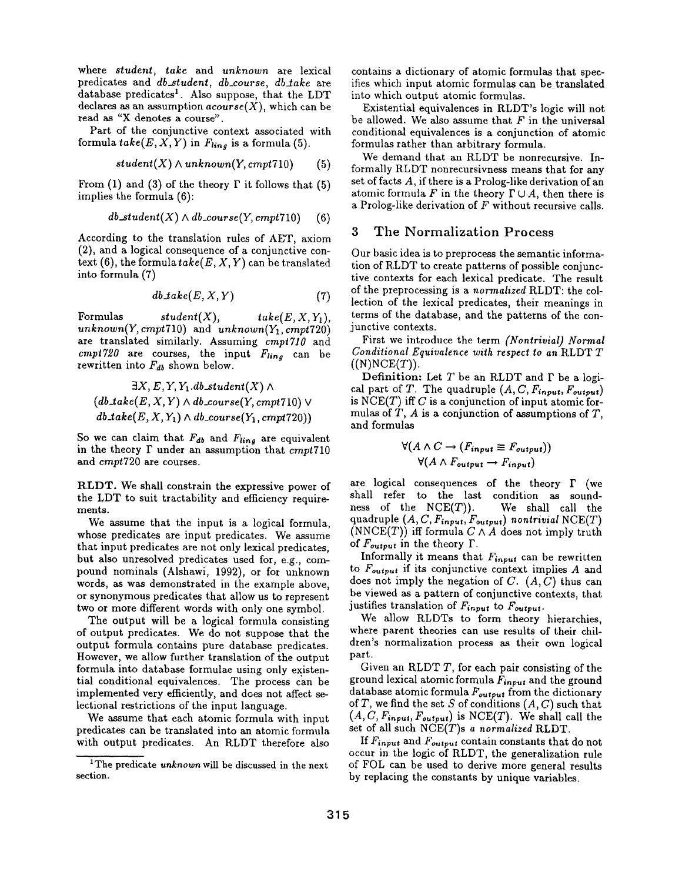where *student, take* and *unknown* are lexical predicates and *db\_student*, *db\_course*, *db\_take* are database predicates<sup>1</sup>. Also suppose, that the LDT declares as an assumption  $acourse(X)$ , which can be read as "X denotes a course".

Part of the conjunctive context associated with formula  $take(E, X, Y)$  in  $F_{ling}$  is a formula (5).

$$
student(X) \land unknown(Y,cmpt710) \qquad (5)
$$

From (1) and (3) of the theory  $\Gamma$  it follows that (5) implies the formula (6):

$$
db\_student(X) \wedge db\_course(Y,cmpt710) \qquad (6)
$$

According to the translation rules of AET, axiom (2), and a logical consequence of a conjunctive context  $(6)$ , the formula  $take(E, X, Y)$  can be translated into formula (7)

$$
db\mathit{take}(E, X, Y) \tag{7}
$$

Formulas  $student(X),$   $take(E, X, Y_1),$  $unknown(Y, cmpt710)$  and  $unknown(Y_1, cmpt720)$ are translated similarly. Assuming *crept710* and  $cmpt720$  are courses, the input  $F_{ling}$  can be rewritten into  $F_{db}$  shown below.

$$
\exists X, E, Y, Y_1. db\_student(X) \land (db\_take(E, X, Y) \land db\_course(Y, empty710) \lor db\_take(E, X, Y_1) \land db\_course(Y_1, empty720))
$$

So we can claim that  $F_{db}$  and  $F_{ling}$  are equivalent in the theory F under an assumption that *crept710*  and *cmpt720* are courses.

RLDT. We shall constrain the expressive power of the LDT to suit tractability and efficiency requirements.

We assume that the input is a logical formula, whose predicates are input predicates. We assume that input predicates are not only lexical predicates, but also unresolved predicates used for, e.g., compound nominals (Alshawi, 1992), or for unknown words, as was demonstrated in the example above, or synonymous predicates that allow us to represent two or more different words with only one symbol.

The output will be a logical formula consisting of output predicates. We do not suppose that the output formula contains pure database predicates. However, we allow further translation of the output formula into database formulae using only existential conditional equivalences. The process can be implemented very efficiently, and does not affect selectional restrictions of the input language.

We assume that each atomic formula with input predicates can be translated into an atomic formula with output predicates. An RLDT therefore also

contains a dictionary of atomic formulas that specifies which input atomic formulas can be translated into which output atomic formulas.

Existential equivalences in KLDT's logic will not be allowed. We also assume that  $F$  in the universal conditional equivalences is a conjunction of atomic formulas rather than arbitrary formula.

We demand that an RLDT be nonrecursive. Informally RLDT nonrecursivness means that for any set of facts A, if there is a Prolog-like derivation of an atomic formula F in the theory  $\Gamma \cup A$ , then there is a Prolog-like derivation of F without recursive calls.

### **3 The Normalization Process**

Our basic idea is to preproeess the semantic information of KLDT to create patterns of possible conjunctive contexts for each lexical predicate. The result of the preprocessing is a *normalized* KLDT: the collection of the lexical predicates, their meanings in terms of the database, and the patterns of the conjunctive contexts.

First we introduce the term *(Nontrivial) Normal Conditional Equivalence with respect to an* RLDT T  $((N)NCE(T)).$ 

Definition: Let  $T$  be an RLDT and  $\Gamma$  be a logical part of T. The quadruple  $(A, C, F_{input}, F_{output})$ is  $NCE(T)$  iff C is a conjunction of input atomic formulas of  $T$ ,  $A$  is a conjunction of assumptions of  $T$ , and formulas

$$
\forall (A \land C \rightarrow (F_{input} \equiv F_{output}))
$$
  

$$
\forall (A \land F_{output} \rightarrow F_{input})
$$

are logical consequences of the theory  $\Gamma$  (we shall refer to the last condition as soundness of the  $NCE(T)$ ). We shall call the quadruple  $(A, C, F_{input}, F_{output})$  nontrivial  $NCE(T)$ (NNCE(T)) iff formula  $C \wedge A$  does not imply truth of  $F_{output}$  in the theory  $\Gamma$ .

Informally it means that  $F_{input}$  can be rewritten to  $F_{output}$  if its conjunctive context implies  $A$  and does not imply the negation of  $C.$   $(A, C)$  thus can be viewed as a pattern of conjunctive contexts, that justifies translation of *Finput* to *Foutput.* 

We allow RLDTs to form theory hierarchies, where parent theories can use results of their children's normalization process as their own logical part.

Given an RLDT  $T$ , for each pair consisting of the ground lexical atomic formula *Fi,put* and the ground database atomic formula  $F_{output}$  from the dictionary of T, we find the set S of conditions  $(A, C)$  such that  $(A, C, F_{input}, F_{output})$  is NCE(T). We shall call the set of all such NCE(T)s *a normalized* R.LDT.

If  $F_{input}$  and  $F_{output}$  contain constants that do not occur in the logic of RLDT, the generalization rule of FOL can be used to derive more general results by replacing the constants by unique variables.

<sup>&</sup>lt;sup>1</sup>The predicate *unknown* will be discussed in the next section.